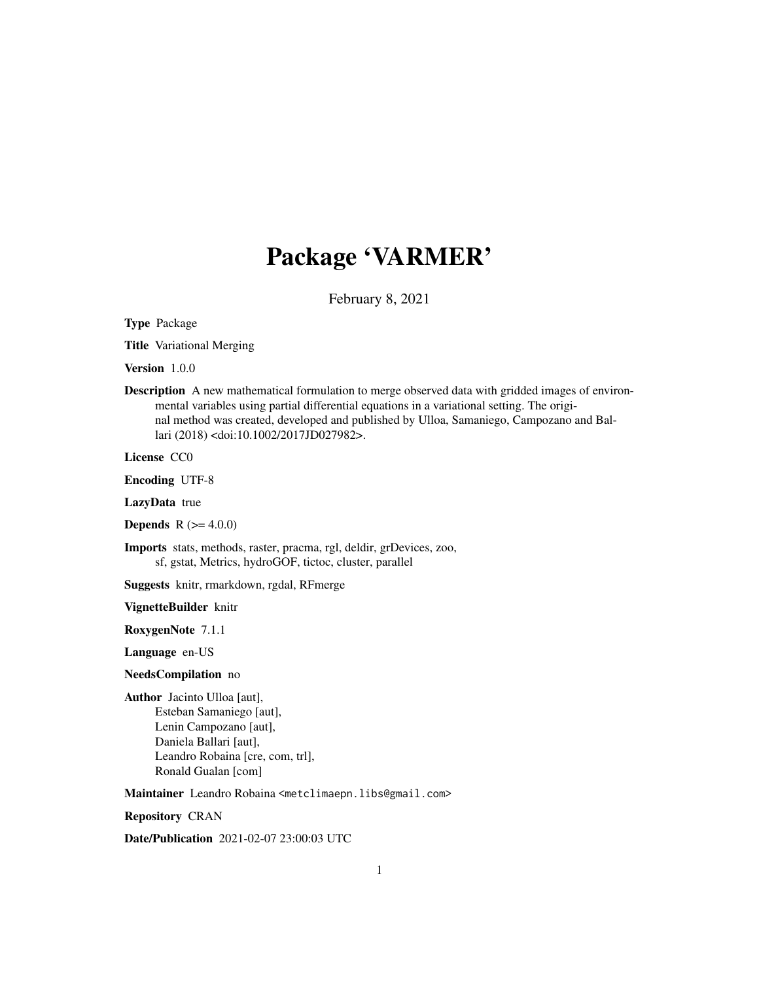# Package 'VARMER'

February 8, 2021

<span id="page-0-0"></span>Type Package

Title Variational Merging

Version 1.0.0

Description A new mathematical formulation to merge observed data with gridded images of environmental variables using partial differential equations in a variational setting. The original method was created, developed and published by Ulloa, Samaniego, Campozano and Ballari (2018) <doi:10.1002/2017JD027982>.

License CC0

Encoding UTF-8

LazyData true

**Depends**  $R (= 4.0.0)$ 

Imports stats, methods, raster, pracma, rgl, deldir, grDevices, zoo, sf, gstat, Metrics, hydroGOF, tictoc, cluster, parallel

Suggests knitr, rmarkdown, rgdal, RFmerge

VignetteBuilder knitr

RoxygenNote 7.1.1

Language en-US

NeedsCompilation no

Author Jacinto Ulloa [aut], Esteban Samaniego [aut], Lenin Campozano [aut], Daniela Ballari [aut], Leandro Robaina [cre, com, trl], Ronald Gualan [com]

Maintainer Leandro Robaina <metclimaepn.libs@gmail.com>

Repository CRAN

Date/Publication 2021-02-07 23:00:03 UTC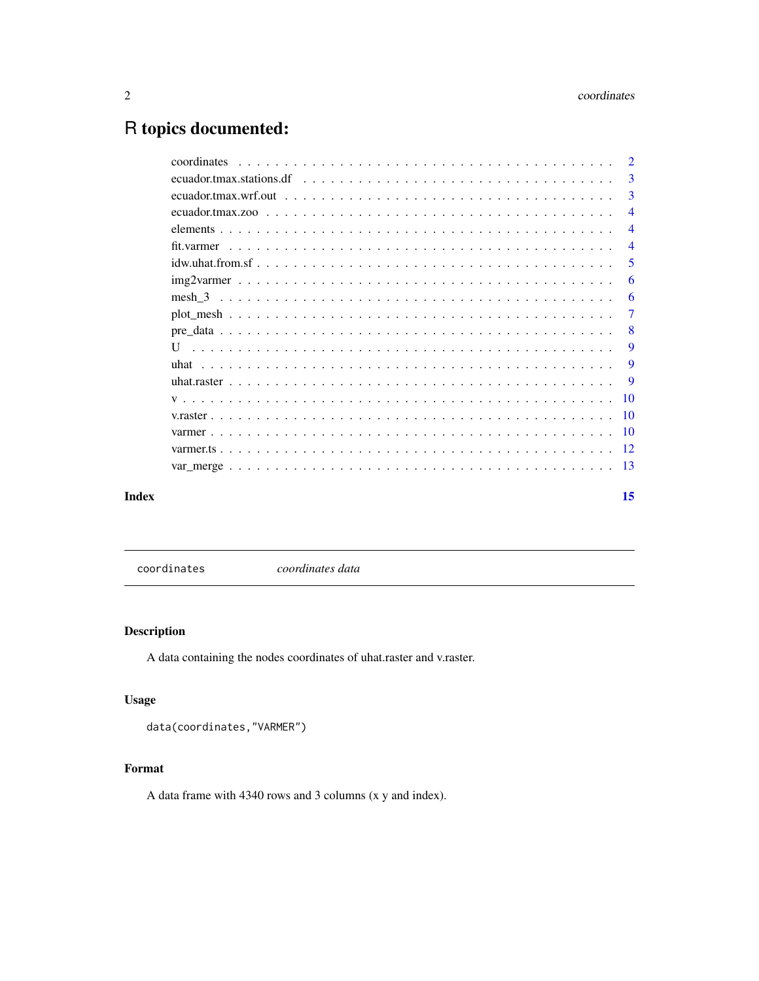## <span id="page-1-0"></span>R topics documented:

|       | coordinates                                                                                                           | $\overline{2}$ |
|-------|-----------------------------------------------------------------------------------------------------------------------|----------------|
|       | ecuador.tmax.stations.df $\ldots \ldots \ldots \ldots \ldots \ldots \ldots \ldots \ldots \ldots \ldots \ldots \ldots$ | $\overline{3}$ |
|       |                                                                                                                       | 3              |
|       |                                                                                                                       | $\overline{4}$ |
|       |                                                                                                                       | $\overline{4}$ |
|       |                                                                                                                       | $\overline{4}$ |
|       |                                                                                                                       | -5             |
|       | $img2varmer \dots \dots \dots \dots \dots \dots \dots \dots \dots \dots \dots \dots \dots \dots \dots \dots \dots$    | -6             |
|       |                                                                                                                       | -6             |
|       |                                                                                                                       | 7              |
|       |                                                                                                                       | -8             |
|       | $\mathbf{U}$                                                                                                          | <b>9</b>       |
|       |                                                                                                                       | -9             |
|       |                                                                                                                       |                |
|       |                                                                                                                       |                |
|       |                                                                                                                       |                |
|       |                                                                                                                       |                |
|       |                                                                                                                       |                |
|       |                                                                                                                       |                |
| Index |                                                                                                                       | 15             |

coordinates *coordinates data*

#### Description

A data containing the nodes coordinates of uhat.raster and v.raster.

#### Usage

```
data(coordinates,"VARMER")
```
#### Format

A data frame with 4340 rows and 3 columns (x y and index).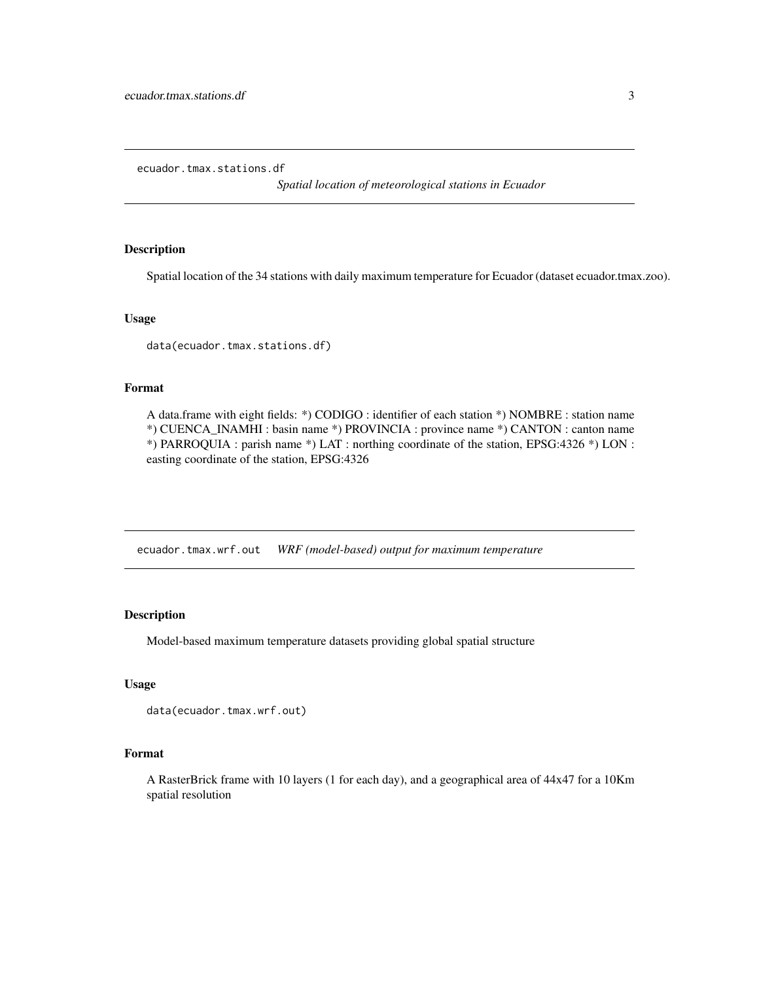<span id="page-2-0"></span>ecuador.tmax.stations.df

*Spatial location of meteorological stations in Ecuador*

#### Description

Spatial location of the 34 stations with daily maximum temperature for Ecuador (dataset ecuador.tmax.zoo).

#### Usage

data(ecuador.tmax.stations.df)

#### Format

A data.frame with eight fields: \*) CODIGO : identifier of each station \*) NOMBRE : station name \*) CUENCA\_INAMHI : basin name \*) PROVINCIA : province name \*) CANTON : canton name \*) PARROQUIA : parish name \*) LAT : northing coordinate of the station, EPSG:4326 \*) LON : easting coordinate of the station, EPSG:4326

ecuador.tmax.wrf.out *WRF (model-based) output for maximum temperature*

#### Description

Model-based maximum temperature datasets providing global spatial structure

#### Usage

```
data(ecuador.tmax.wrf.out)
```
#### Format

A RasterBrick frame with 10 layers (1 for each day), and a geographical area of 44x47 for a 10Km spatial resolution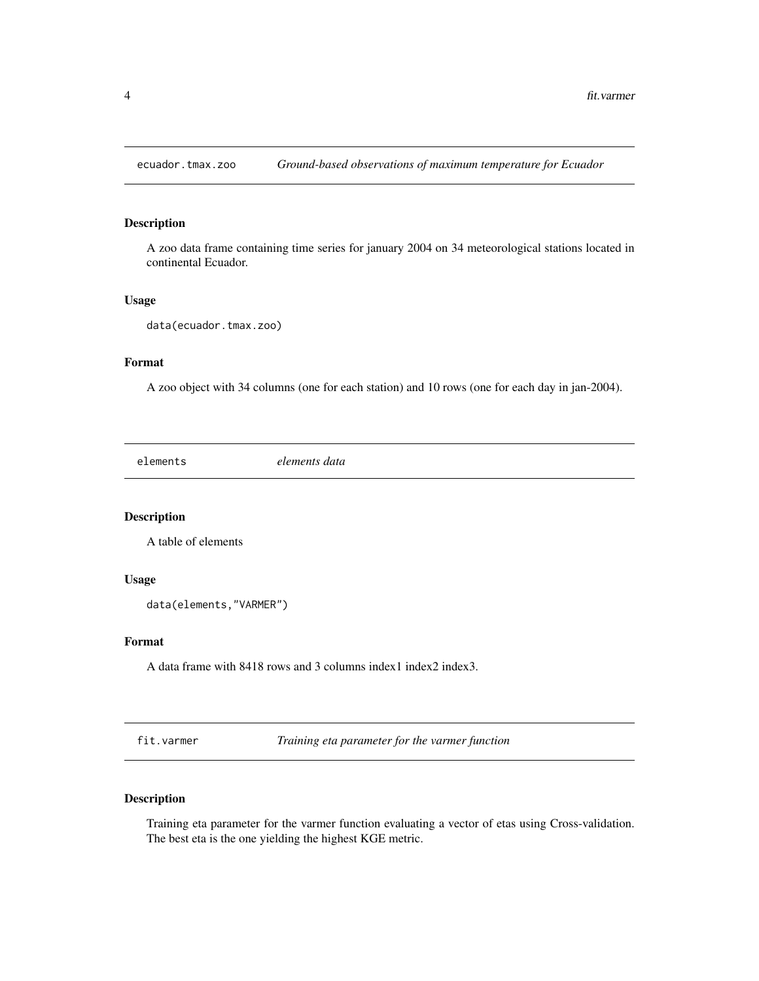<span id="page-3-0"></span>

A zoo data frame containing time series for january 2004 on 34 meteorological stations located in continental Ecuador.

#### Usage

data(ecuador.tmax.zoo)

#### Format

A zoo object with 34 columns (one for each station) and 10 rows (one for each day in jan-2004).

elements *elements data*

#### Description

A table of elements

#### Usage

data(elements,"VARMER")

#### Format

A data frame with 8418 rows and 3 columns index1 index2 index3.

fit.varmer *Training eta parameter for the varmer function*

#### Description

Training eta parameter for the varmer function evaluating a vector of etas using Cross-validation. The best eta is the one yielding the highest KGE metric.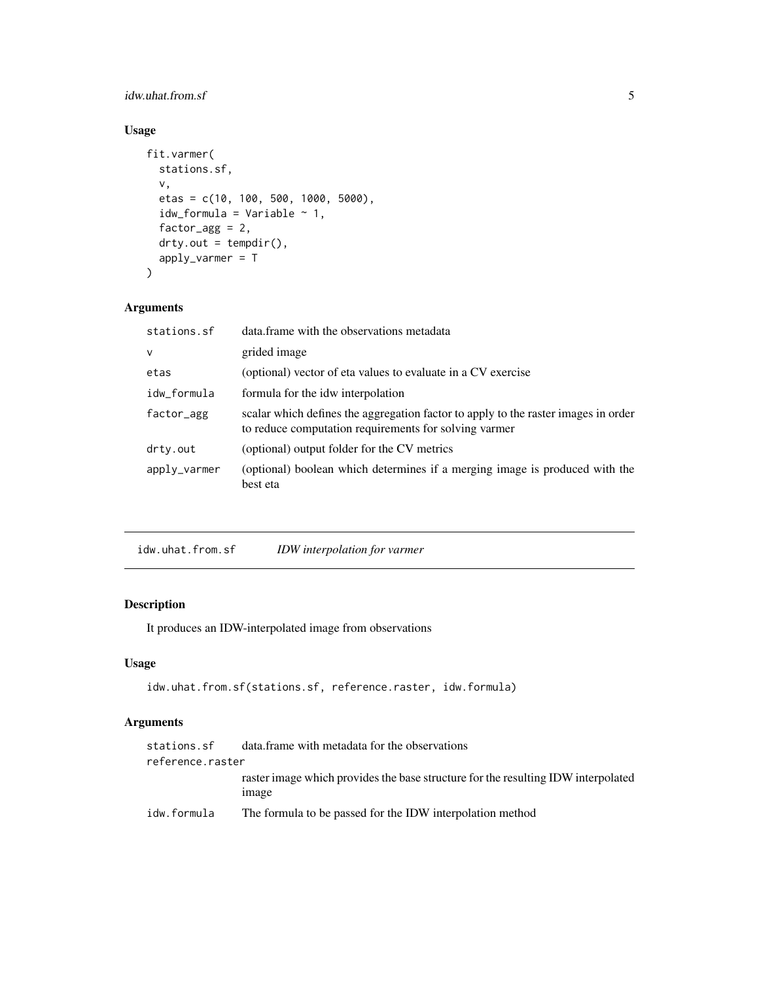#### <span id="page-4-0"></span>idw.uhat.from.sf 5

#### Usage

```
fit.varmer(
  stations.sf,
  v,
 etas = c(10, 100, 500, 1000, 5000),
 idw_formula = Variable ~ 1,
  factor_agg = 2,
 drty.out = tempdir(),
  apply_varmer = T
)
```
#### Arguments

| stations.sf  | data frame with the observations metadata                                                                                                   |
|--------------|---------------------------------------------------------------------------------------------------------------------------------------------|
| $\mathsf{V}$ | grided image                                                                                                                                |
| etas         | (optional) vector of eta values to evaluate in a CV exercise                                                                                |
| idw_formula  | formula for the idw interpolation                                                                                                           |
| factor_agg   | scalar which defines the aggregation factor to apply to the raster images in order<br>to reduce computation requirements for solving varmer |
| drty.out     | (optional) output folder for the CV metrics                                                                                                 |
| apply_varmer | (optional) boolean which determines if a merging image is produced with the<br>best eta                                                     |

idw.uhat.from.sf *IDW interpolation for varmer*

#### Description

It produces an IDW-interpolated image from observations

#### Usage

```
idw.uhat.from.sf(stations.sf, reference.raster, idw.formula)
```
#### Arguments

| stations.sf      | data frame with metadata for the observations                                                     |
|------------------|---------------------------------------------------------------------------------------------------|
| reference.raster |                                                                                                   |
|                  | raster image which provides the base structure for the resulting IDW interpolated<br><i>image</i> |
| idw.formula      | The formula to be passed for the IDW interpolation method                                         |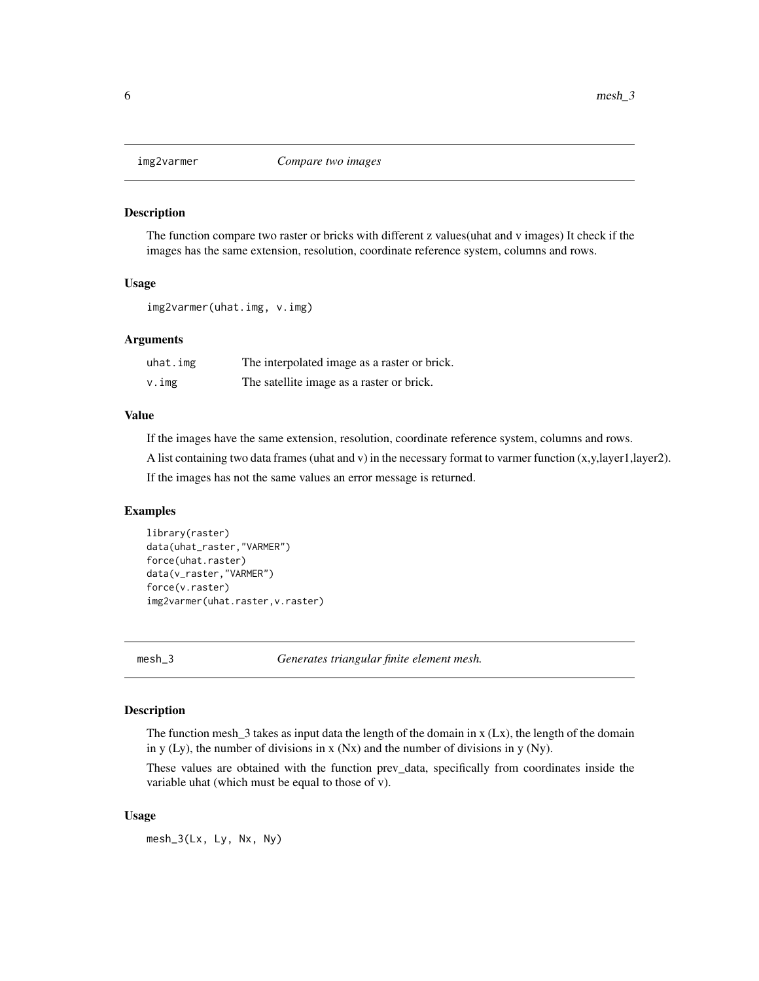<span id="page-5-1"></span><span id="page-5-0"></span>

The function compare two raster or bricks with different z values(uhat and v images) It check if the images has the same extension, resolution, coordinate reference system, columns and rows.

#### Usage

img2varmer(uhat.img, v.img)

#### Arguments

| uhat.img | The interpolated image as a raster or brick. |
|----------|----------------------------------------------|
| v.img    | The satellite image as a raster or brick.    |

#### Value

If the images have the same extension, resolution, coordinate reference system, columns and rows.

A list containing two data frames (uhat and v) in the necessary format to varmer function (x,y,layer1,layer2).

If the images has not the same values an error message is returned.

#### Examples

```
library(raster)
data(uhat_raster,"VARMER")
force(uhat.raster)
data(v_raster,"VARMER")
force(v.raster)
img2varmer(uhat.raster,v.raster)
```
<span id="page-5-2"></span>mesh\_3 *Generates triangular finite element mesh.*

#### Description

The function mesh  $\bar{3}$  takes as input data the length of the domain in x (Lx), the length of the domain in y (Ly), the number of divisions in x (Nx) and the number of divisions in y (Ny).

These values are obtained with the function prev\_data, specifically from coordinates inside the variable uhat (which must be equal to those of v).

#### Usage

mesh\_3(Lx, Ly, Nx, Ny)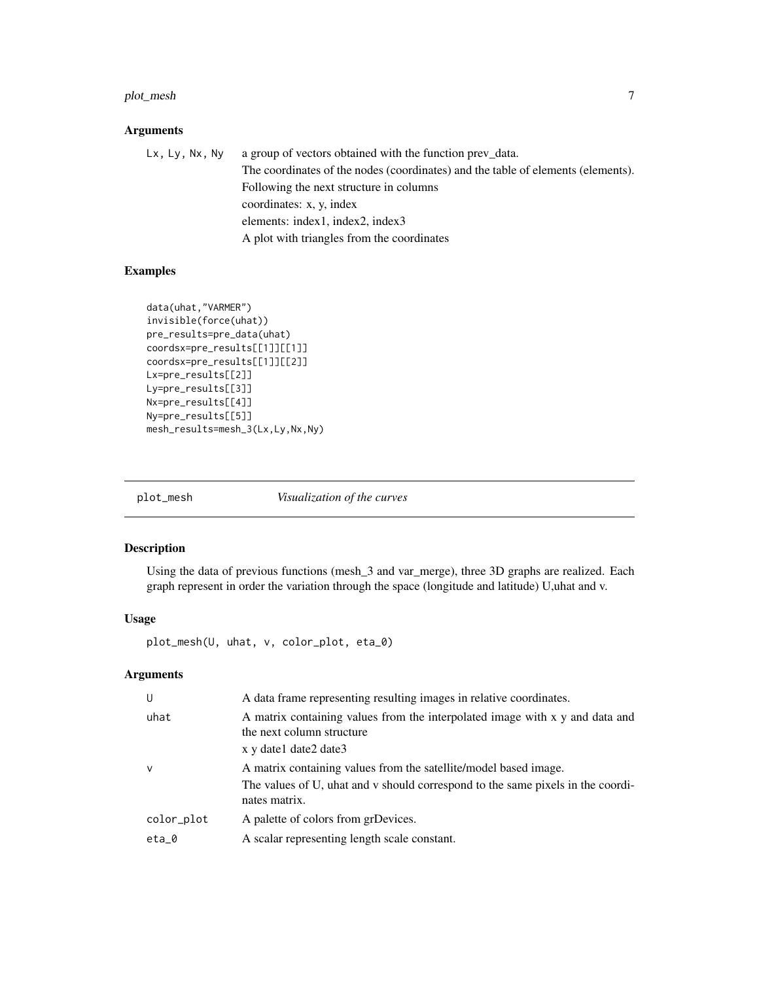#### <span id="page-6-0"></span>plot\_mesh 7

#### Arguments

Lx, Ly, Nx, Ny a group of vectors obtained with the function prev\_data. The coordinates of the nodes (coordinates) and the table of elements (elements). Following the next structure in columns coordinates: x, y, index elements: index1, index2, index3 A plot with triangles from the coordinates

#### Examples

```
data(uhat,"VARMER")
invisible(force(uhat))
pre_results=pre_data(uhat)
coordsx=pre_results[[1]][[1]]
coordsx=pre_results[[1]][[2]]
Lx=pre_results[[2]]
Ly=pre_results[[3]]
Nx=pre_results[[4]]
Ny=pre_results[[5]]
mesh_results=mesh_3(Lx,Ly,Nx,Ny)
```
<span id="page-6-1"></span>

plot\_mesh *Visualization of the curves*

#### Description

Using the data of previous functions (mesh\_3 and var\_merge), three 3D graphs are realized. Each graph represent in order the variation through the space (longitude and latitude) U,uhat and v.

#### Usage

plot\_mesh(U, uhat, v, color\_plot, eta\_0)

#### Arguments

| U            | A data frame representing resulting images in relative coordinates.                                                                                                  |
|--------------|----------------------------------------------------------------------------------------------------------------------------------------------------------------------|
| uhat         | A matrix containing values from the interpolated image with x y and data and<br>the next column structure                                                            |
|              | x y date1 date2 date3                                                                                                                                                |
| $\mathsf{V}$ | A matrix containing values from the satellite/model based image.<br>The values of U, uhat and v should correspond to the same pixels in the coordi-<br>nates matrix. |
| color_plot   | A palette of colors from grDevices.                                                                                                                                  |
| eta_0        | A scalar representing length scale constant.                                                                                                                         |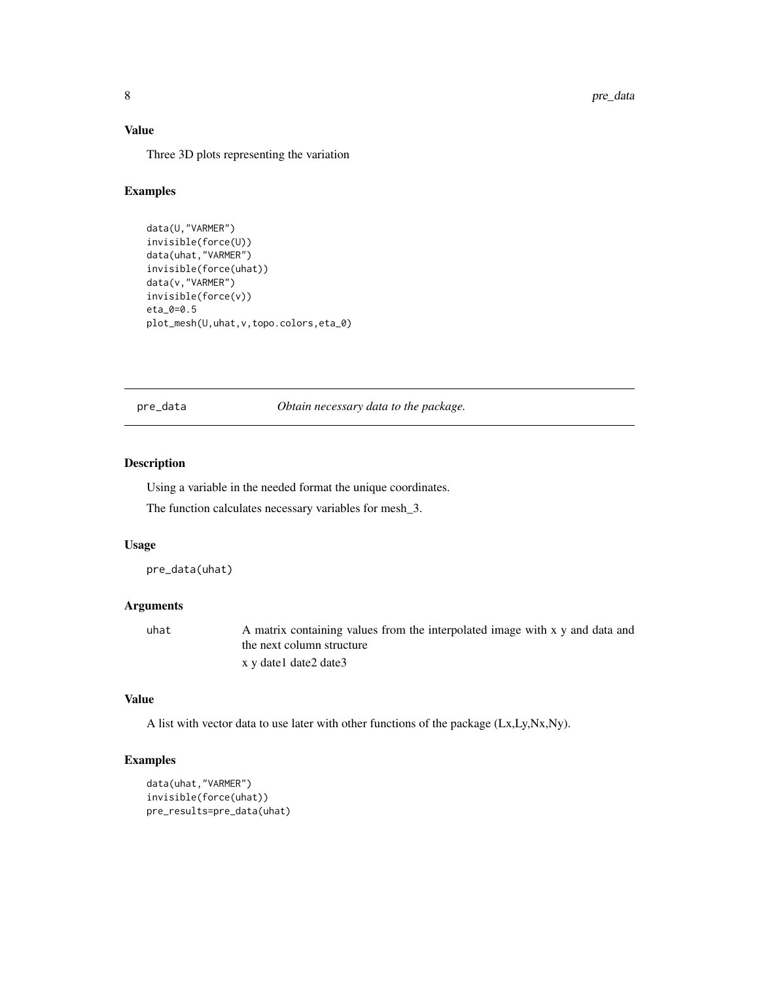#### <span id="page-7-0"></span>Value

Three 3D plots representing the variation

#### Examples

```
data(U,"VARMER")
invisible(force(U))
data(uhat,"VARMER")
invisible(force(uhat))
data(v,"VARMER")
invisible(force(v))
eta_0=0.5
plot_mesh(U,uhat,v,topo.colors,eta_0)
```
<span id="page-7-1"></span>pre\_data *Obtain necessary data to the package.*

#### Description

Using a variable in the needed format the unique coordinates.

The function calculates necessary variables for mesh\_3.

#### Usage

pre\_data(uhat)

#### Arguments

uhat A matrix containing values from the interpolated image with x y and data and the next column structure x y date1 date2 date3

#### Value

A list with vector data to use later with other functions of the package (Lx,Ly,Nx,Ny).

#### Examples

```
data(uhat,"VARMER")
invisible(force(uhat))
pre_results=pre_data(uhat)
```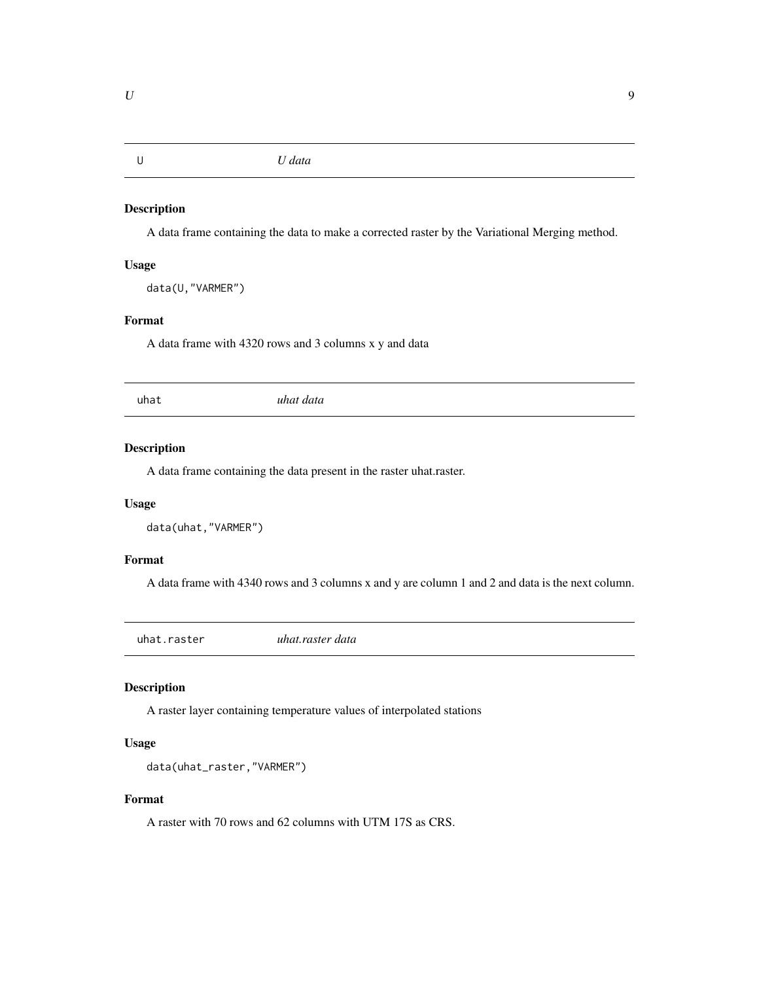<span id="page-8-0"></span>A data frame containing the data to make a corrected raster by the Variational Merging method.

#### Usage

data(U,"VARMER")

#### Format

A data frame with 4320 rows and 3 columns x y and data

uhat *uhat data*

#### Description

A data frame containing the data present in the raster uhat.raster.

#### Usage

```
data(uhat,"VARMER")
```
#### Format

A data frame with 4340 rows and 3 columns x and y are column 1 and 2 and data is the next column.

uhat.raster *uhat.raster data*

#### Description

A raster layer containing temperature values of interpolated stations

#### Usage

```
data(uhat_raster,"VARMER")
```
#### Format

A raster with 70 rows and 62 columns with UTM 17S as CRS.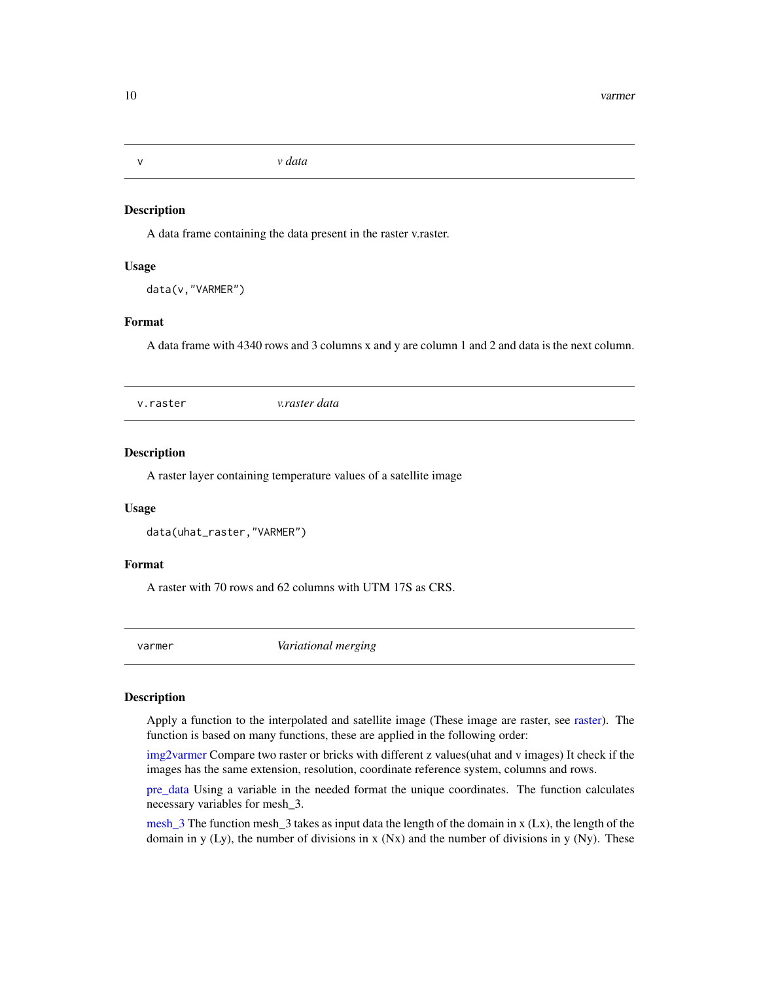A data frame containing the data present in the raster v.raster.

#### Usage

data(v,"VARMER")

#### Format

A data frame with 4340 rows and 3 columns x and y are column 1 and 2 and data is the next column.

v.raster *v.raster data*

#### Description

A raster layer containing temperature values of a satellite image

#### Usage

data(uhat\_raster,"VARMER")

#### Format

A raster with 70 rows and 62 columns with UTM 17S as CRS.

varmer *Variational merging*

#### Description

Apply a function to the interpolated and satellite image (These image are raster, see [raster\)](#page-0-0). The function is based on many functions, these are applied in the following order:

[img2varmer](#page-5-1) Compare two raster or bricks with different z values(uhat and v images) It check if the images has the same extension, resolution, coordinate reference system, columns and rows.

[pre\\_data](#page-7-1) Using a variable in the needed format the unique coordinates. The function calculates necessary variables for mesh\_3.

[mesh\\_3](#page-5-2) The function mesh\_3 takes as input data the length of the domain in  $x$  (Lx), the length of the domain in y (Ly), the number of divisions in x (Nx) and the number of divisions in y (Ny). These

<span id="page-9-0"></span>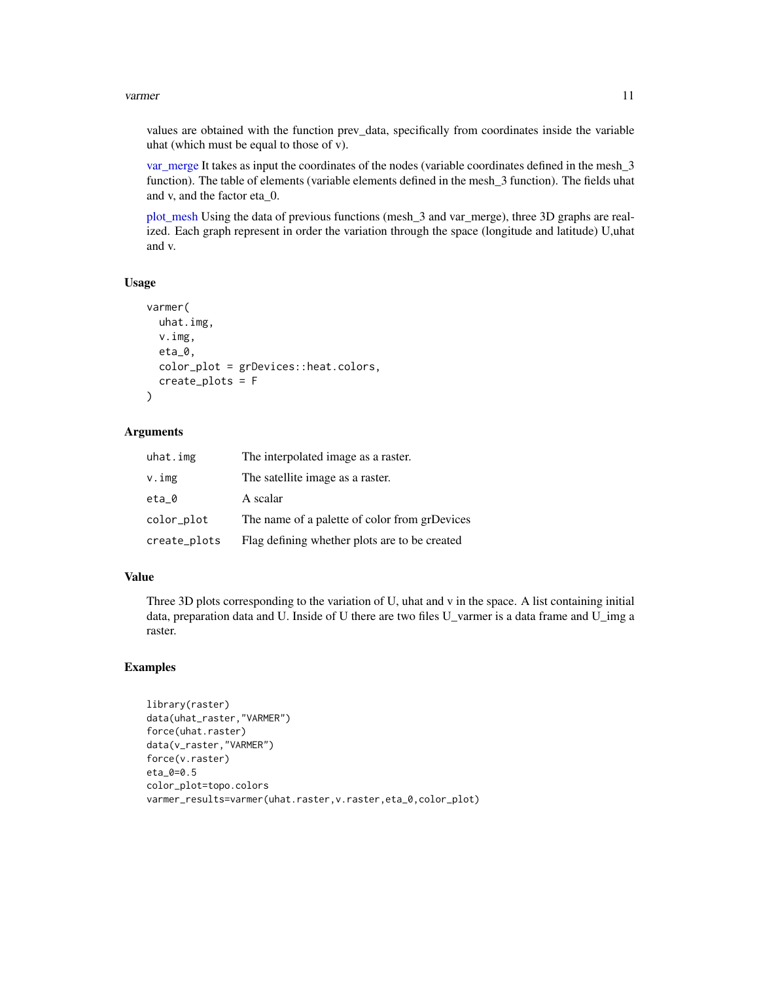#### <span id="page-10-0"></span>varmer and the state of the state of the state of the state of the state of the state of the state of the state of the state of the state of the state of the state of the state of the state of the state of the state of the

values are obtained with the function prev\_data, specifically from coordinates inside the variable uhat (which must be equal to those of v).

var merge It takes as input the coordinates of the nodes (variable coordinates defined in the mesh 3 function). The table of elements (variable elements defined in the mesh\_3 function). The fields uhat and v, and the factor eta\_0.

[plot\\_mesh](#page-6-1) Using the data of previous functions (mesh\_3 and var\_merge), three 3D graphs are realized. Each graph represent in order the variation through the space (longitude and latitude) U,uhat and v.

#### Usage

```
varmer(
  uhat.img,
  v.img,
  eta_0,
  color_plot = grDevices::heat.colors,
  create_plots = F
\lambda
```
#### Arguments

| uhat.img     | The interpolated image as a raster.           |  |
|--------------|-----------------------------------------------|--|
| v.img        | The satellite image as a raster.              |  |
| eta_0        | A scalar                                      |  |
| color_plot   | The name of a palette of color from grDevices |  |
| create_plots | Flag defining whether plots are to be created |  |

#### Value

Three 3D plots corresponding to the variation of U, uhat and v in the space. A list containing initial data, preparation data and U. Inside of U there are two files U\_varmer is a data frame and U\_img a raster.

#### Examples

```
library(raster)
data(uhat_raster,"VARMER")
force(uhat.raster)
data(v_raster,"VARMER")
force(v.raster)
eta_0=0.5
color_plot=topo.colors
varmer_results=varmer(uhat.raster,v.raster,eta_0,color_plot)
```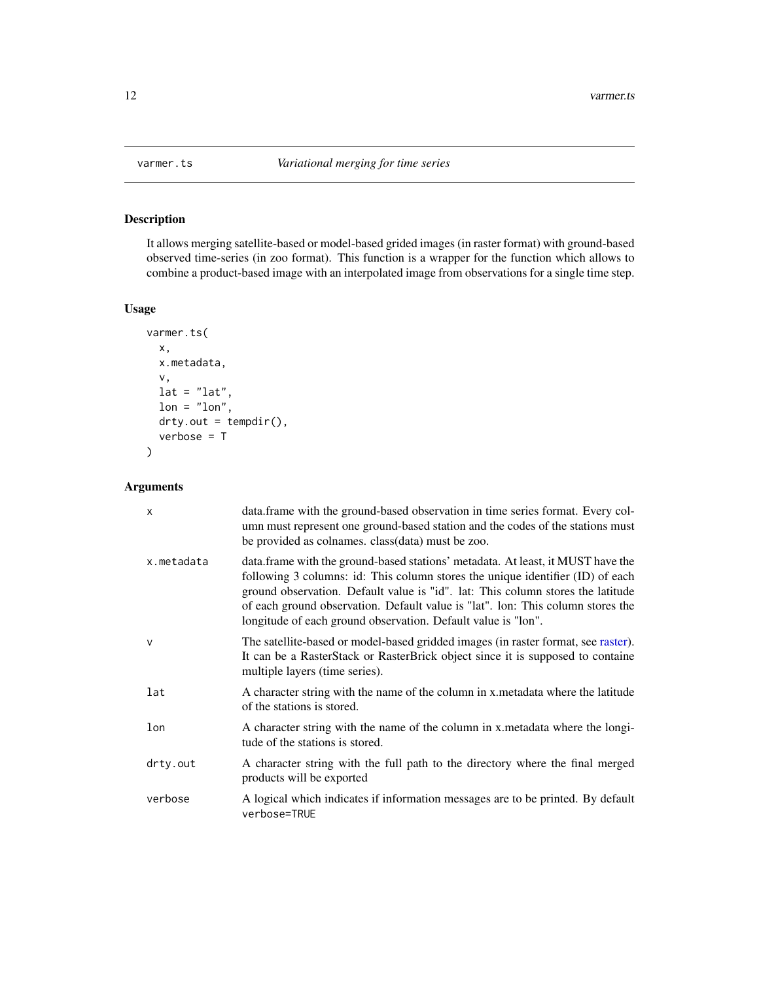<span id="page-11-0"></span>

It allows merging satellite-based or model-based grided images (in raster format) with ground-based observed time-series (in zoo format). This function is a wrapper for the function which allows to combine a product-based image with an interpolated image from observations for a single time step.

#### Usage

```
varmer.ts(
 x,
  x.metadata,
  v,
 lat = "lat",lon = "lon",drty.out = tempdir(),
  verbose = T
)
```
#### Arguments

| $\mathsf{x}$ | data.frame with the ground-based observation in time series format. Every col-<br>umn must represent one ground-based station and the codes of the stations must<br>be provided as colnames. class(data) must be zoo.                                                                                                                                                                                    |
|--------------|----------------------------------------------------------------------------------------------------------------------------------------------------------------------------------------------------------------------------------------------------------------------------------------------------------------------------------------------------------------------------------------------------------|
| x.metadata   | data.frame with the ground-based stations' metadata. At least, it MUST have the<br>following 3 columns: id: This column stores the unique identifier (ID) of each<br>ground observation. Default value is "id". lat: This column stores the latitude<br>of each ground observation. Default value is "lat". lon: This column stores the<br>longitude of each ground observation. Default value is "lon". |
| $\mathsf{v}$ | The satellite-based or model-based gridded images (in raster format, see raster).<br>It can be a RasterStack or RasterBrick object since it is supposed to containe<br>multiple layers (time series).                                                                                                                                                                                                    |
| lat          | A character string with the name of the column in x metadata where the latitude<br>of the stations is stored.                                                                                                                                                                                                                                                                                            |
| lon          | A character string with the name of the column in x metadata where the longi-<br>tude of the stations is stored.                                                                                                                                                                                                                                                                                         |
| drty.out     | A character string with the full path to the directory where the final merged<br>products will be exported                                                                                                                                                                                                                                                                                               |
| verbose      | A logical which indicates if information messages are to be printed. By default<br>verbose=TRUE                                                                                                                                                                                                                                                                                                          |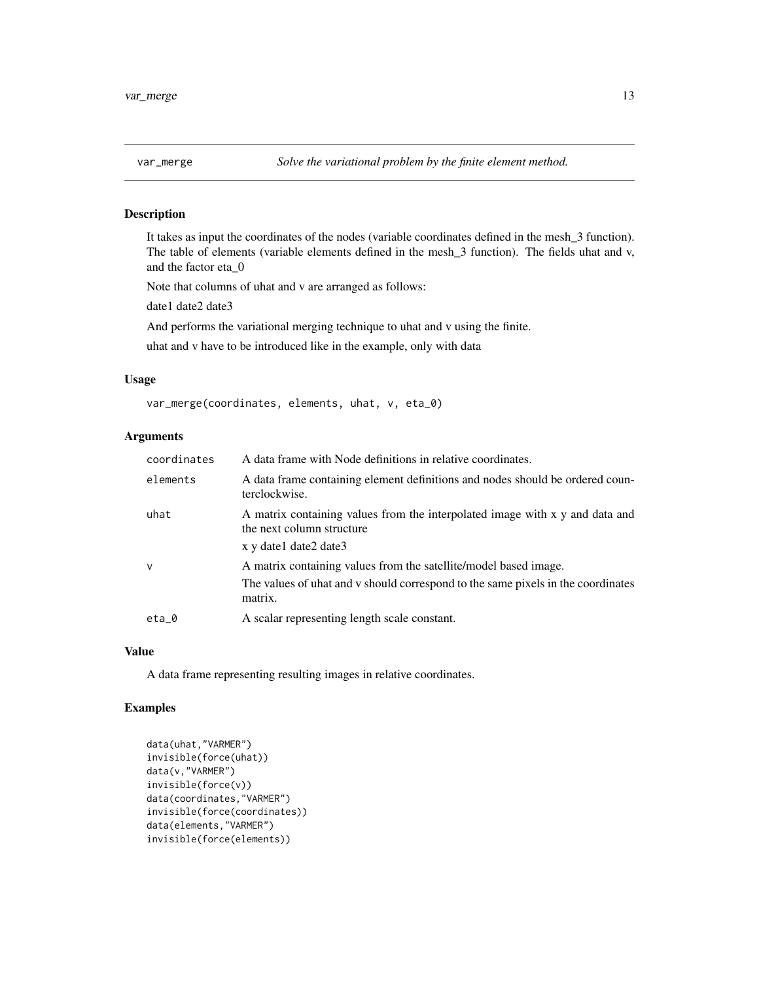<span id="page-12-1"></span><span id="page-12-0"></span>It takes as input the coordinates of the nodes (variable coordinates defined in the mesh\_3 function). The table of elements (variable elements defined in the mesh\_3 function). The fields uhat and v, and the factor eta\_0

Note that columns of uhat and v are arranged as follows:

date1 date2 date3

And performs the variational merging technique to uhat and v using the finite.

uhat and v have to be introduced like in the example, only with data

#### Usage

var\_merge(coordinates, elements, uhat, v, eta\_0)

#### Arguments

| coordinates  | A data frame with Node definitions in relative coordinates.                                               |
|--------------|-----------------------------------------------------------------------------------------------------------|
| elements     | A data frame containing element definitions and nodes should be ordered coun-<br>terclockwise.            |
| uhat         | A matrix containing values from the interpolated image with x y and data and<br>the next column structure |
|              | x y date1 date2 date3                                                                                     |
| $\mathsf{V}$ | A matrix containing values from the satellite/model based image.                                          |
|              | The values of uhat and v should correspond to the same pixels in the coordinates<br>matrix.               |
| $eta_0$      | A scalar representing length scale constant.                                                              |

#### Value

A data frame representing resulting images in relative coordinates.

#### Examples

```
data(uhat,"VARMER")
invisible(force(uhat))
data(v,"VARMER")
invisible(force(v))
data(coordinates,"VARMER")
invisible(force(coordinates))
data(elements,"VARMER")
invisible(force(elements))
```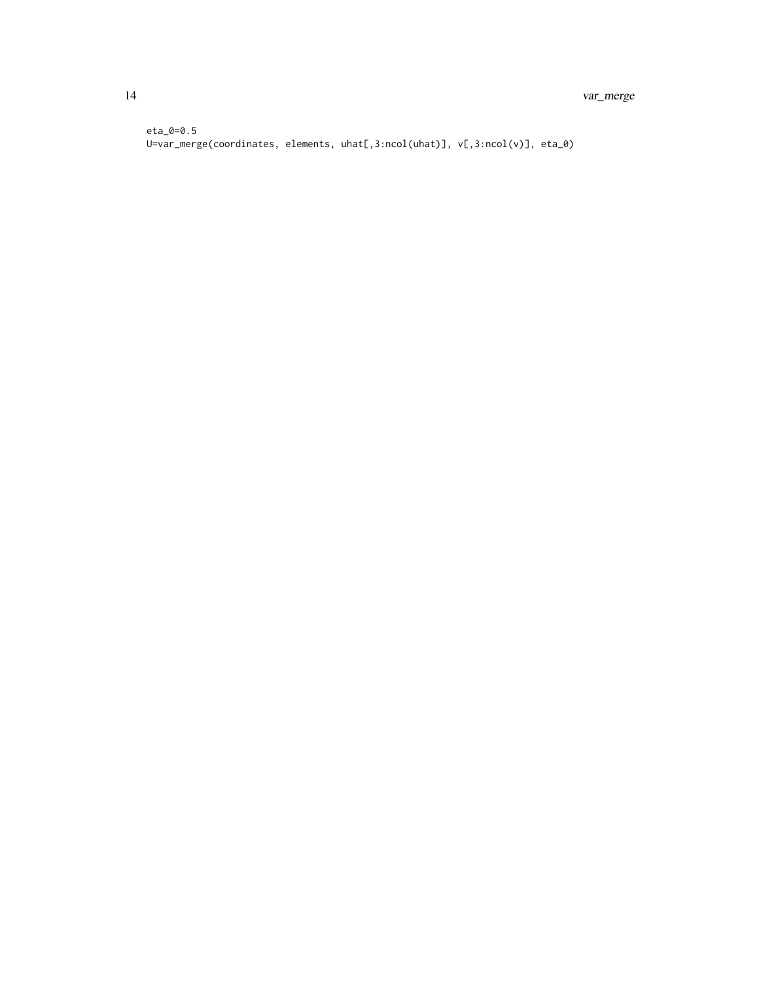eta\_0=0.5 U=var\_merge(coordinates, elements, uhat[,3:ncol(uhat)], v[,3:ncol(v)], eta\_0)